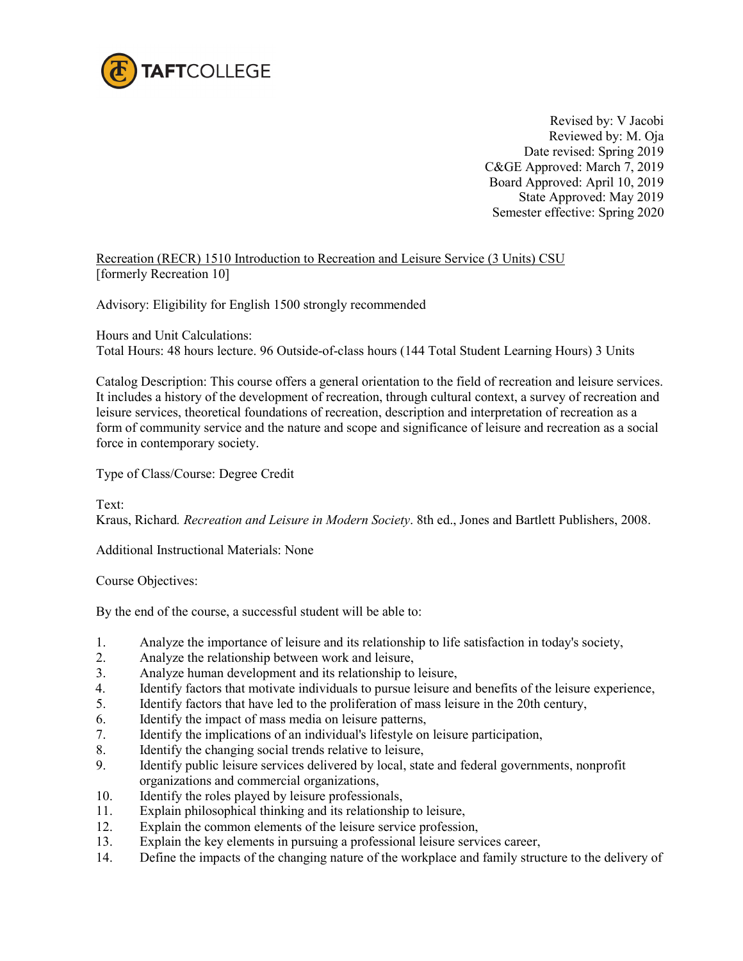

Revised by: V Jacobi Reviewed by: M. Oja Date revised: Spring 2019 C&GE Approved: March 7, 2019 Board Approved: April 10, 2019 State Approved: May 2019 Semester effective: Spring 2020

Recreation (RECR) 1510 Introduction to Recreation and Leisure Service (3 Units) CSU [formerly Recreation 10]

Advisory: Eligibility for English 1500 strongly recommended

Hours and Unit Calculations:

Total Hours: 48 hours lecture. 96 Outside-of-class hours (144 Total Student Learning Hours) 3 Units

Catalog Description: This course offers a general orientation to the field of recreation and leisure services. It includes a history of the development of recreation, through cultural context, a survey of recreation and leisure services, theoretical foundations of recreation, description and interpretation of recreation as a form of community service and the nature and scope and significance of leisure and recreation as a social force in contemporary society.

Type of Class/Course: Degree Credit

Text:

Kraus, Richard*. Recreation and Leisure in Modern Society*. 8th ed., Jones and Bartlett Publishers, 2008.

Additional Instructional Materials: None

Course Objectives:

By the end of the course, a successful student will be able to:

- 1. Analyze the importance of leisure and its relationship to life satisfaction in today's society,
- 2. Analyze the relationship between work and leisure,
- 3. Analyze human development and its relationship to leisure,
- 4. Identify factors that motivate individuals to pursue leisure and benefits of the leisure experience,
- 5. Identify factors that have led to the proliferation of mass leisure in the 20th century,
- 6. Identify the impact of mass media on leisure patterns,
- 7. Identify the implications of an individual's lifestyle on leisure participation,
- 8. Identify the changing social trends relative to leisure,
- 9. Identify public leisure services delivered by local, state and federal governments, nonprofit organizations and commercial organizations,<br>10. Identify the roles played by leisure profession
- Identify the roles played by leisure professionals,
- 11. Explain philosophical thinking and its relationship to leisure,
- 12. Explain the common elements of the leisure service profession,
- 13. Explain the key elements in pursuing a professional leisure services career,
- 14. Define the impacts of the changing nature of the workplace and family structure to the delivery of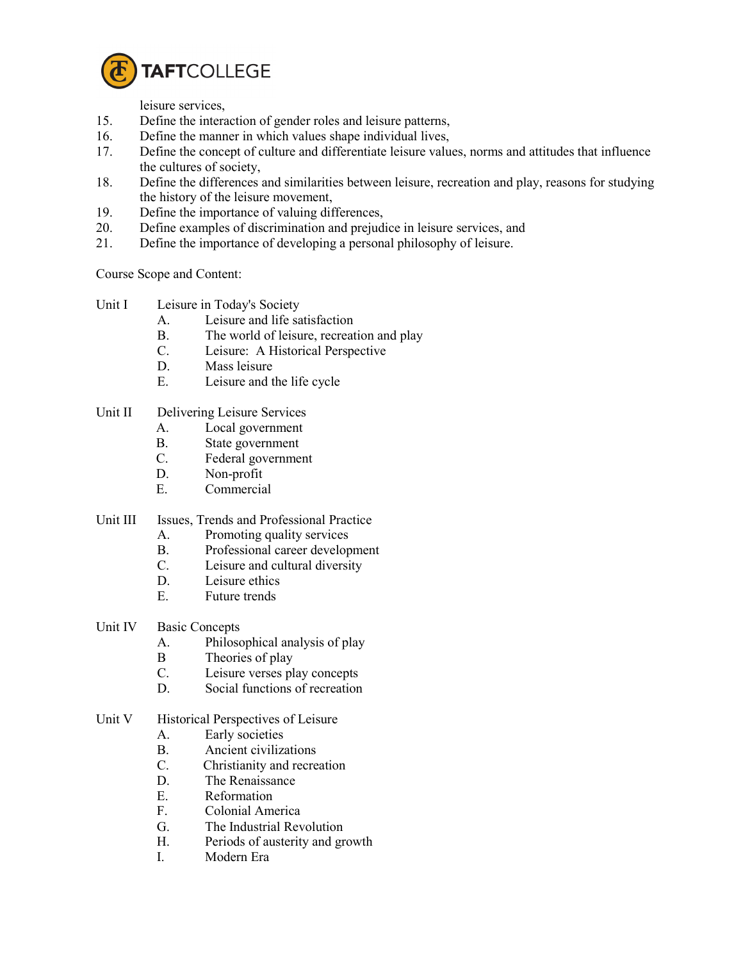

leisure services,

- 15. Define the interaction of gender roles and leisure patterns,
- 16. Define the manner in which values shape individual lives,
- 17. Define the concept of culture and differentiate leisure values, norms and attitudes that influence the cultures of society,
- 18. Define the differences and similarities between leisure, recreation and play, reasons for studying the history of the leisure movement,
- 19. Define the importance of valuing differences,
- 20. Define examples of discrimination and prejudice in leisure services, and
- 21. Define the importance of developing a personal philosophy of leisure.

Course Scope and Content:

- Unit I Leisure in Today's Society
	- A. Leisure and life satisfaction
	- B. The world of leisure, recreation and play
	- C. Leisure: A Historical Perspective
	- D. Mass leisure
	- E. Leisure and the life cycle

## Unit II Delivering Leisure Services

- A. Local government
- B. State government
- C. Federal government
- D. Non-profit
- E. Commercial
- Unit III Issues, Trends and Professional Practice
	- A. Promoting quality services
	- B. Professional career development
	- C. Leisure and cultural diversity
	- D. Leisure ethics
	- E. Future trends
- Unit IV Basic Concepts
	- A. Philosophical analysis of play
	- B Theories of play
	- C. Leisure verses play concepts
	- D. Social functions of recreation

## Unit V Historical Perspectives of Leisure

- A. Early societies
- B. Ancient civilizations
- C. Christianity and recreation
- D. The Renaissance
- E. Reformation
- F. Colonial America
- G. The Industrial Revolution
- H. Periods of austerity and growth
- I. Modern Era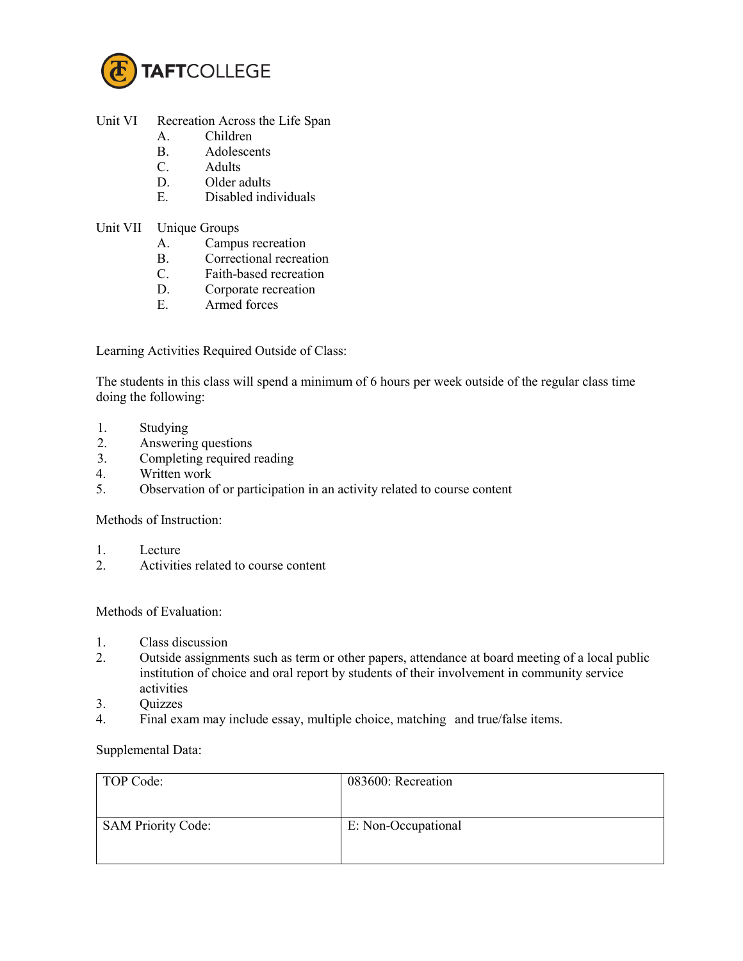

## Unit VI Recreation Across the Life Span

- A. Children
- B. Adolescents
- C. Adults
- D. Older adults
- E. Disabled individuals
- Unit VII Unique Groups
	- A. Campus recreation
	- B. Correctional recreation
	- C. Faith-based recreation
	- D. Corporate recreation
	- E. Armed forces

Learning Activities Required Outside of Class:

The students in this class will spend a minimum of 6 hours per week outside of the regular class time doing the following:

- 1. Studying
- 2. Answering questions
- 3. Completing required reading
- 4. Written work
- 5. Observation of or participation in an activity related to course content

Methods of Instruction:

- 1. Lecture
- 2. Activities related to course content

## Methods of Evaluation:

- 1. Class discussion
- 2. Outside assignments such as term or other papers, attendance at board meeting of a local public institution of choice and oral report by students of their involvement in community service activities
- 3. Quizzes
- 4. Final exam may include essay, multiple choice, matching and true/false items.

Supplemental Data:

| TOP Code:                 | 083600: Recreation  |
|---------------------------|---------------------|
| <b>SAM Priority Code:</b> | E: Non-Occupational |
|                           |                     |